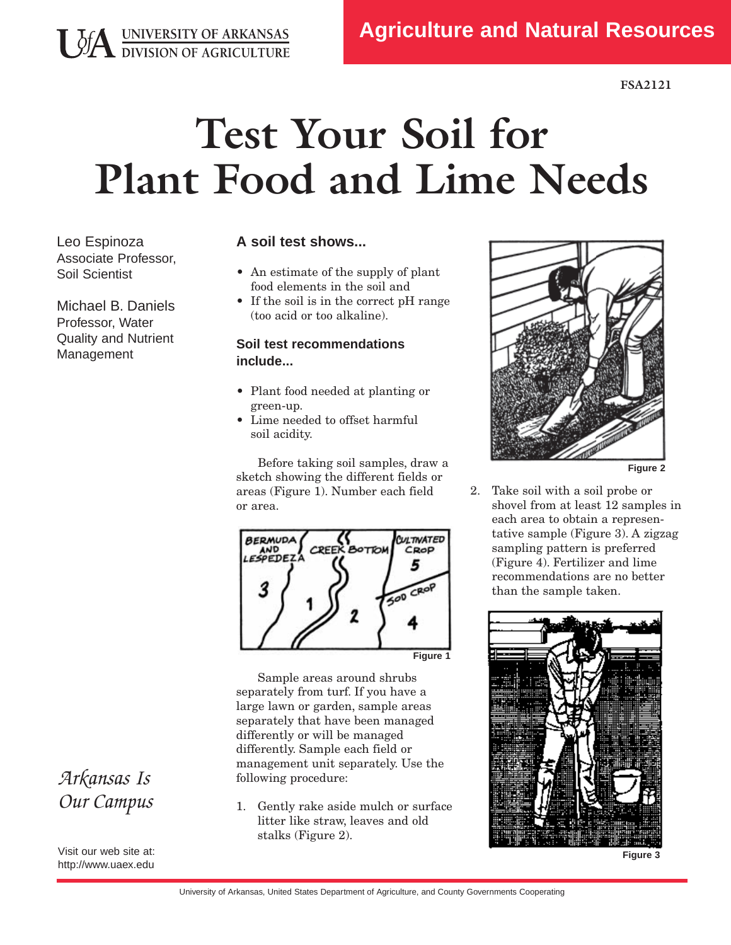## **Test Your Soil for Plant Food and Lime Needs**

Leo Espinoza Associate Professor, Soil Scientist

**USA UNIVERSITY OF ARKANSAS**<br>DIVISION OF AGRICULTURE

Michael B. Daniels Professor, Water Quality and Nutrient Management

## **A soil test shows...**

- An estimate of the supply of plant food elements in the soil and
- If the soil is in the correct pH range (too acid or too alkaline).

## **Soil test recommendations include...**

- Plant food needed at planting or green-up.
- Lime needed to offset harmful soil acidity.

Before taking soil samples, draw a sketch showing the different fields or areas (Figure 1). Number each field or area.



Sample areas around shrubs separately from turf. If you have a large lawn or garden, sample areas separately that have been managed differently or will be managed differently. Sample each field or management unit separately. Use the following procedure:

1. Gently rake aside mulch or surface litter like straw, leaves and old stalks (Figure 2).



**Figure 2**

2. Take soil with a soil probe or shovel from at least 12 samples in each area to obtain a representative sample (Figure 3). A zigzag sampling pattern is preferred (Figure 4). Fertilizer and lime recommendations are no better than the sample taken.



**Figure 3**

## *Arkansas Is Our Campus*

Visit our web site at: http://www.uaex.edu